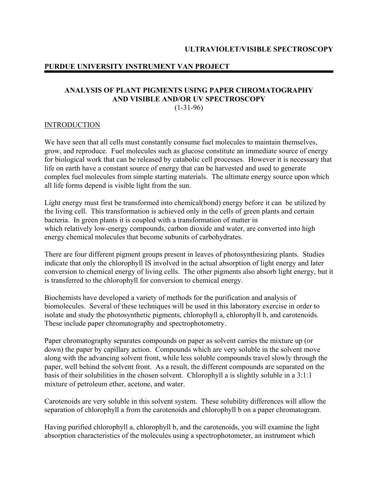# **ANALYSIS OF PLANT PIGMENTS USING PAPER CHROMATOGRAPHY AND VISIBLE AND/OR UV SPECTROSCOPY**

 $(1-31-96)$ 

## INTRODUCTION

We have seen that all cells must constantly consume fuel molecules to maintain themselves, grow, and reproduce. Fuel molecules such as glucose constitute an immediate source of energy for biological work that can be released by catabolic cell processes. However it is necessary that life on earth have a constant source of energy that can be harvested and used to generate complex fuel molecules from simple starting materials. The ultimate energy source upon which all life forms depend is visible light from the sun.

Light energy must first be transformed into chemical(bond) energy before it can be utilized by the living cell. This transformation is achieved only in the cells of green plants and certain bacteria. In green plants it is coupled with a transformation of matter in which relatively low-energy compounds, carbon dioxide and water, are converted into high energy chemical molecules that become subunits of carbohydrates.

There are four different pigment groups present in leaves of photosynthesizing plants. Studies indicate that only the chlorophyll IS involved in the actual absorption of light energy and later conversion to chemical energy of living cells. The other pigments also absorb light energy, but it is transferred to the chlorophyll for conversion to chemical energy.

Biochemists have developed a variety of methods for the purification and analysis of biomolecules. Several of these techniques will be used in this laboratory exercise in order to isolate and study the photosynthetic pigments, chlorophyll a, chlorophyll b, and carotenoids. These include paper chromatography and spectrophotometry.

Paper chromatography separates compounds on paper as solvent carries the mixture up (or down) the paper by capillary action. Compounds which are very soluble in the solvent move along with the advancing solvent front, while less soluble compounds travel slowly through the paper, well behind the solvent front. As a result, the different compounds are separated on the basis of their solubilities in the chosen solvent. Chlorophyll a is slightly soluble in a 3:1:1 mixture of petroleum ether, acetone, and water.

Carotenoids are very soluble in this solvent system. These solubility differences will allow the separation of chlorophyll a from the carotenoids and chlorophyll b on a paper chromatogram.

Having purified chlorophyll a, chlorophyll b, and the carotenoids, you will examine the light absorption characteristics of the molecules using a spectrophotometer, an instrument which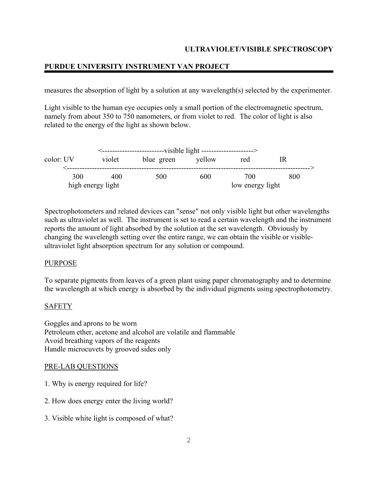# **PURDUE UNIVERSITY INSTRUMENT VAN PROJECT**

measures the absorption of light by a solution at any wavelength(s) selected by the experimenter.

Light visible to the human eye occupies only a small portion of the electromagnetic spectrum, namely from about 350 to 750 nanometers, or from violet to red. The color of light is also related to the energy of the light as shown below.

| <--------------------------------visible light ---------------------> |        |            |        |                  |     |  |  |
|-----------------------------------------------------------------------|--------|------------|--------|------------------|-----|--|--|
| color: UV                                                             | violet | blue green | yellow | red              |     |  |  |
| 300                                                                   | 400    | 500        | 600    | 700              | 800 |  |  |
| high energy light                                                     |        |            |        | low energy light |     |  |  |

Spectrophotometers and related devices can "sense" not only visible light but other wavelengths such as ultraviolet as well. The instrument is set to read a certain wavelength and the instrument reports the amount of light absorbed by the solution at the set wavelength. Obviously by changing the wavelength setting over the entire range, we can obtain the visible or visibleultraviolet light absorption spectrum for any solution or compound.

### PURPOSE

To separate pigments from leaves of a green plant using paper chromatography and to determine the wavelength at which energy is absorbed by the individual pigments using spectrophotometry.

# **SAFETY**

Goggles and aprons to be worn Petroleum ether, acetone and alcohol are volatile and flammable Avoid breathing vapors of the reagents Handle microcuvets by grooved sides only

### PRE-LAB QUESTIONS

- 1. Why is energy required for life?
- 2. How does energy enter the living world?
- 3. Visible white light is composed of what?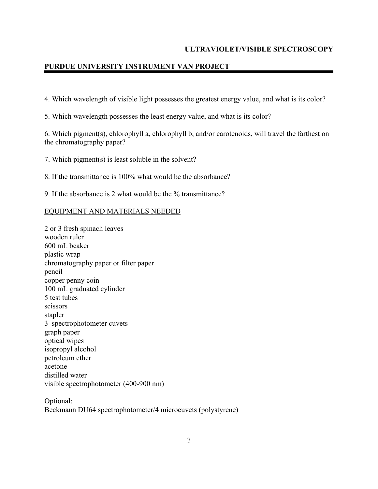# **PURDUE UNIVERSITY INSTRUMENT VAN PROJECT**

4. Which wavelength of visible light possesses the greatest energy value, and what is its color?

5. Which wavelength possesses the least energy value, and what is its color?

6. Which pigment(s), chlorophyll a, chlorophyll b, and/or carotenoids, will travel the farthest on the chromatography paper?

7. Which pigment(s) is least soluble in the solvent?

8. If the transmittance is 100% what would be the absorbance?

9. If the absorbance is 2 what would be the % transmittance?

### EQUIPMENT AND MATERIALS NEEDED

2 or 3 fresh spinach leaves wooden ruler 600 mL beaker plastic wrap chromatography paper or filter paper pencil copper penny coin 100 mL graduated cylinder 5 test tubes scissors stapler 3 spectrophotometer cuvets graph paper optical wipes isopropyl alcohol petroleum ether acetone distilled water visible spectrophotometer (400-900 nm)

Optional: Beckmann DU64 spectrophotometer/4 microcuvets (polystyrene)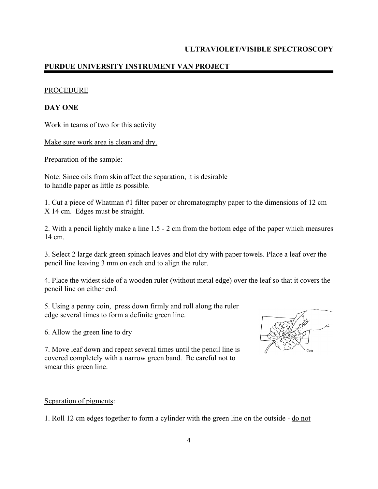### PROCEDURE

### **DAY ONE**

Work in teams of two for this activity

Make sure work area is clean and dry.

Preparation of the sample:

Note: Since oils from skin affect the separation, it is desirable to handle paper as little as possible.

1. Cut a piece of Whatman #1 filter paper or chromatography paper to the dimensions of 12 cm X 14 cm. Edges must be straight.

2. With a pencil lightly make a line 1.5 - 2 cm from the bottom edge of the paper which measures 14 cm.

3. Select 2 large dark green spinach leaves and blot dry with paper towels. Place a leaf over the pencil line leaving 3 mm on each end to align the ruler.

4. Place the widest side of a wooden ruler (without metal edge) over the leaf so that it covers the pencil line on either end.

5. Using a penny coin, press down firmly and roll along the ruler edge several times to form a definite green line.

6. Allow the green line to dry

7. Move leaf down and repeat several times until the pencil line is covered completely with a narrow green band. Be careful not to smear this green line.

### Separation of pigments:

1. Roll 12 cm edges together to form a cylinder with the green line on the outside - do not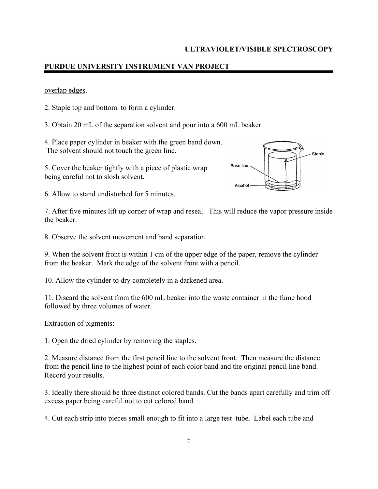### overlap edges.

2. Staple top and bottom to form a cylinder.

3. Obtain 20 mL of the separation solvent and pour into a 600 mL beaker.

4. Place paper cylinder in beaker with the green band down. The solvent should not touch the green line.

5. Cover the beaker tightly with a piece of plastic wrap being careful not to slosh solvent.



6. Allow to stand undisturbed for 5 minutes.

7. After five minutes lift up corner of wrap and reseal. This will reduce the vapor pressure inside the beaker.

8. Observe the solvent movement and band separation.

9. When the solvent front is within 1 cm of the upper edge of the paper, remove the cylinder from the beaker. Mark the edge of the solvent front with a pencil.

10. Allow the cylinder to dry completely in a darkened area.

11. Discard the solvent from the 600 mL beaker into the waste container in the fume hood followed by three volumes of water.

### Extraction of pigments:

1. Open the dried cylinder by removing the staples.

2. Measure distance from the first pencil line to the solvent front. Then measure the distance from the pencil line to the highest point of each color band and the original pencil line band. Record your results.

3. Ideally there should be three distinct colored bands. Cut the bands apart carefully and trim off excess paper being careful not to cut colored band.

4. Cut each strip into pieces small enough to fit into a large test tube. Label each tube and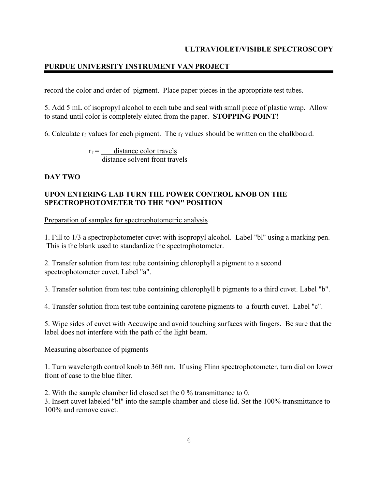# **PURDUE UNIVERSITY INSTRUMENT VAN PROJECT**

record the color and order of pigment. Place paper pieces in the appropriate test tubes.

5. Add 5 mL of isopropyl alcohol to each tube and seal with small piece of plastic wrap. Allow to stand until color is completely eluted from the paper. **STOPPING POINT!**

6. Calculate  $r_f$  values for each pigment. The  $r_f$  values should be written on the chalkboard.

 $r_f =$  distance color travels distance solvent front travels

## **DAY TWO**

## **UPON ENTERING LAB TURN THE POWER CONTROL KNOB ON THE SPECTROPHOTOMETER TO THE "ON" POSITION**

Preparation of samples for spectrophotometric analysis

1. Fill to 1/3 a spectrophotometer cuvet with isopropyl alcohol. Label "bl" using a marking pen. This is the blank used to standardize the spectrophotometer.

2. Transfer solution from test tube containing chlorophyll a pigment to a second spectrophotometer cuvet. Label "a".

3. Transfer solution from test tube containing chlorophyll b pigments to a third cuvet. Label "b".

4. Transfer solution from test tube containing carotene pigments to a fourth cuvet. Label "c".

5. Wipe sides of cuvet with Accuwipe and avoid touching surfaces with fingers. Be sure that the label does not interfere with the path of the light beam.

### Measuring absorbance of pigments

1. Turn wavelength control knob to 360 nm. If using Flinn spectrophotometer, turn dial on lower front of case to the blue filter.

2. With the sample chamber lid closed set the 0 % transmittance to 0.

3. Insert cuvet labeled "bl" into the sample chamber and close lid. Set the 100% transmittance to 100% and remove cuvet.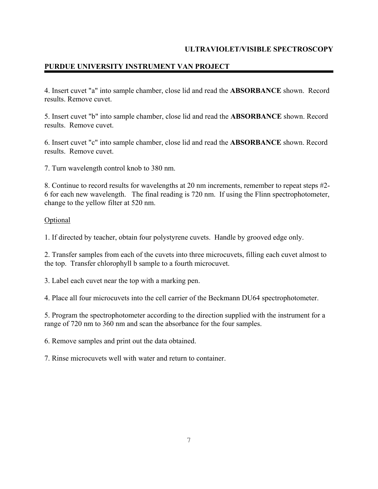# **PURDUE UNIVERSITY INSTRUMENT VAN PROJECT**

4. Insert cuvet "a" into sample chamber, close lid and read the **ABSORBANCE** shown. Record results. Remove cuvet.

5. Insert cuvet "b" into sample chamber, close lid and read the **ABSORBANCE** shown. Record results. Remove cuvet.

6. Insert cuvet "c" into sample chamber, close lid and read the **ABSORBANCE** shown. Record results. Remove cuvet.

7. Turn wavelength control knob to 380 nm.

8. Continue to record results for wavelengths at 20 nm increments, remember to repeat steps #2- 6 for each new wavelength. The final reading is 720 nm. If using the Flinn spectrophotometer, change to the yellow filter at 520 nm.

### **Optional**

1. If directed by teacher, obtain four polystyrene cuvets. Handle by grooved edge only.

2. Transfer samples from each of the cuvets into three microcuvets, filling each cuvet almost to the top. Transfer chlorophyll b sample to a fourth microcuvet.

3. Label each cuvet near the top with a marking pen.

4. Place all four microcuvets into the cell carrier of the Beckmann DU64 spectrophotometer.

5. Program the spectrophotometer according to the direction supplied with the instrument for a range of 720 nm to 360 nm and scan the absorbance for the four samples.

6. Remove samples and print out the data obtained.

7. Rinse microcuvets well with water and return to container.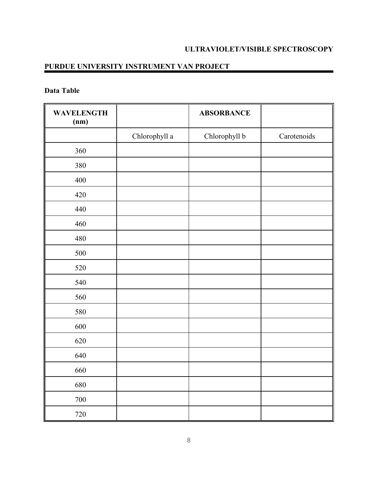# **PURDUE UNIVERSITY INSTRUMENT VAN PROJECT**

# **Data Table**

| <b>WAVELENGTH</b><br>(nm) |               | <b>ABSORBANCE</b> |             |
|---------------------------|---------------|-------------------|-------------|
|                           | Chlorophyll a | Chlorophyll b     | Carotenoids |
| 360                       |               |                   |             |
| 380                       |               |                   |             |
| 400                       |               |                   |             |
| 420                       |               |                   |             |
| 440                       |               |                   |             |
| 460                       |               |                   |             |
| 480                       |               |                   |             |
| 500                       |               |                   |             |
| 520                       |               |                   |             |
| 540                       |               |                   |             |
| 560                       |               |                   |             |
| 580                       |               |                   |             |
| 600                       |               |                   |             |
| 620                       |               |                   |             |
| 640                       |               |                   |             |
| 660                       |               |                   |             |
| 680                       |               |                   |             |
| $700\,$                   |               |                   |             |
| 720                       |               |                   |             |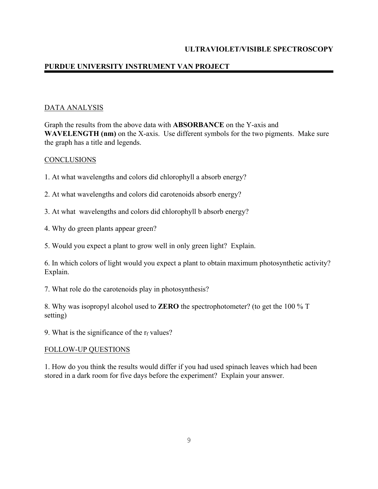# **PURDUE UNIVERSITY INSTRUMENT VAN PROJECT**

## DATA ANALYSIS

Graph the results from the above data with **ABSORBANCE** on the Y-axis and **WAVELENGTH (nm)** on the X-axis. Use different symbols for the two pigments. Make sure the graph has a title and legends.

### **CONCLUSIONS**

- 1. At what wavelengths and colors did chlorophyll a absorb energy?
- 2. At what wavelengths and colors did carotenoids absorb energy?
- 3. At what wavelengths and colors did chlorophyll b absorb energy?
- 4. Why do green plants appear green?
- 5. Would you expect a plant to grow well in only green light? Explain.

6. In which colors of light would you expect a plant to obtain maximum photosynthetic activity? Explain.

7. What role do the carotenoids play in photosynthesis?

8. Why was isopropyl alcohol used to **ZERO** the spectrophotometer? (to get the 100 % T setting)

9. What is the significance of the  $r_f$  values?

### FOLLOW-UP QUESTIONS

1. How do you think the results would differ if you had used spinach leaves which had been stored in a dark room for five days before the experiment? Explain your answer.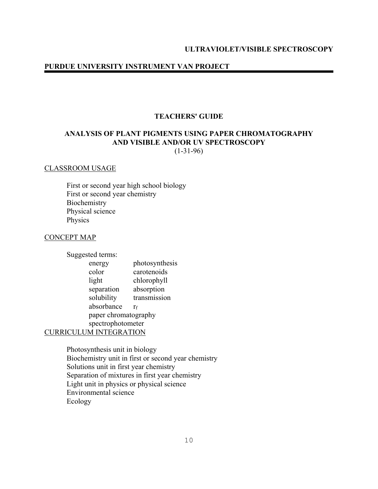### **TEACHERS' GUIDE**

# **ANALYSIS OF PLANT PIGMENTS USING PAPER CHROMATOGRAPHY AND VISIBLE AND/OR UV SPECTROSCOPY**

 $(1-31-96)$ 

### CLASSROOM USAGE

 First or second year high school biology First or second year chemistry Biochemistry Physical science Physics

### CONCEPT MAP

Suggested terms:

| Suggested terms.     |                       |                |  |  |
|----------------------|-----------------------|----------------|--|--|
|                      | energy                | photosynthesis |  |  |
|                      | color                 | carotenoids    |  |  |
|                      | light                 | chlorophyll    |  |  |
|                      | separation            | absorption     |  |  |
|                      | solubility            | transmission   |  |  |
|                      | absorbance            | ٢f             |  |  |
| paper chromatography |                       |                |  |  |
| spectrophotometer    |                       |                |  |  |
|                      | <b>UM INTEGRATION</b> |                |  |  |

Photosynthesis unit in biology Biochemistry unit in first or second year chemistry Solutions unit in first year chemistry Separation of mixtures in first year chemistry Light unit in physics or physical science Environmental science Ecology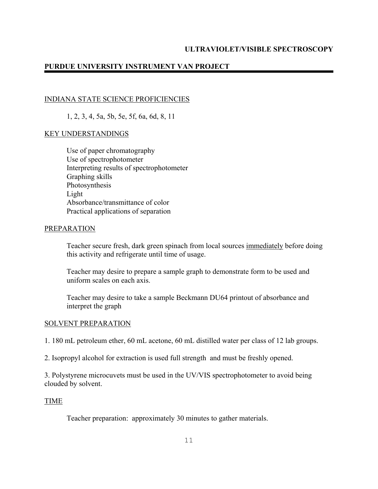## INDIANA STATE SCIENCE PROFICIENCIES

1, 2, 3, 4, 5a, 5b, 5e, 5f, 6a, 6d, 8, 11

### KEY UNDERSTANDINGS

 Use of paper chromatography Use of spectrophotometer Interpreting results of spectrophotometer Graphing skills Photosynthesis Light Absorbance/transmittance of color Practical applications of separation

### PREPARATION

Teacher secure fresh, dark green spinach from local sources immediately before doing this activity and refrigerate until time of usage.

Teacher may desire to prepare a sample graph to demonstrate form to be used and uniform scales on each axis.

Teacher may desire to take a sample Beckmann DU64 printout of absorbance and interpret the graph

### SOLVENT PREPARATION

1. 180 mL petroleum ether, 60 mL acetone, 60 mL distilled water per class of 12 lab groups.

2. Isopropyl alcohol for extraction is used full strength and must be freshly opened.

3. Polystyrene microcuvets must be used in the UV/VIS spectrophotometer to avoid being clouded by solvent.

### TIME

Teacher preparation: approximately 30 minutes to gather materials.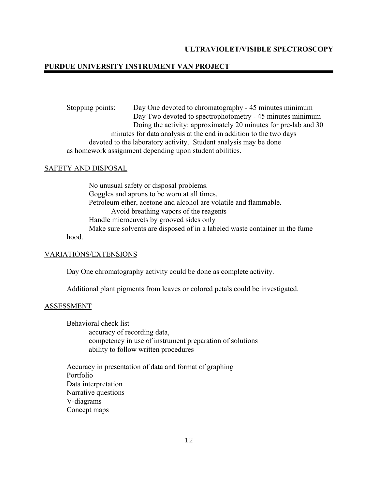Stopping points: Day One devoted to chromatography - 45 minutes minimum Day Two devoted to spectrophotometry - 45 minutes minimum Doing the activity: approximately 20 minutes for pre-lab and 30 minutes for data analysis at the end in addition to the two days devoted to the laboratory activity. Student analysis may be done as homework assignment depending upon student abilities.

### SAFETY AND DISPOSAL

 No unusual safety or disposal problems. Goggles and aprons to be worn at all times. Petroleum ether, acetone and alcohol are volatile and flammable. Avoid breathing vapors of the reagents Handle microcuvets by grooved sides only Make sure solvents are disposed of in a labeled waste container in the fume hood.

#### VARIATIONS/EXTENSIONS

Day One chromatography activity could be done as complete activity.

Additional plant pigments from leaves or colored petals could be investigated.

#### ASSESSMENT

Behavioral check list accuracy of recording data, competency in use of instrument preparation of solutions ability to follow written procedures

Accuracy in presentation of data and format of graphing Portfolio Data interpretation Narrative questions V-diagrams Concept maps